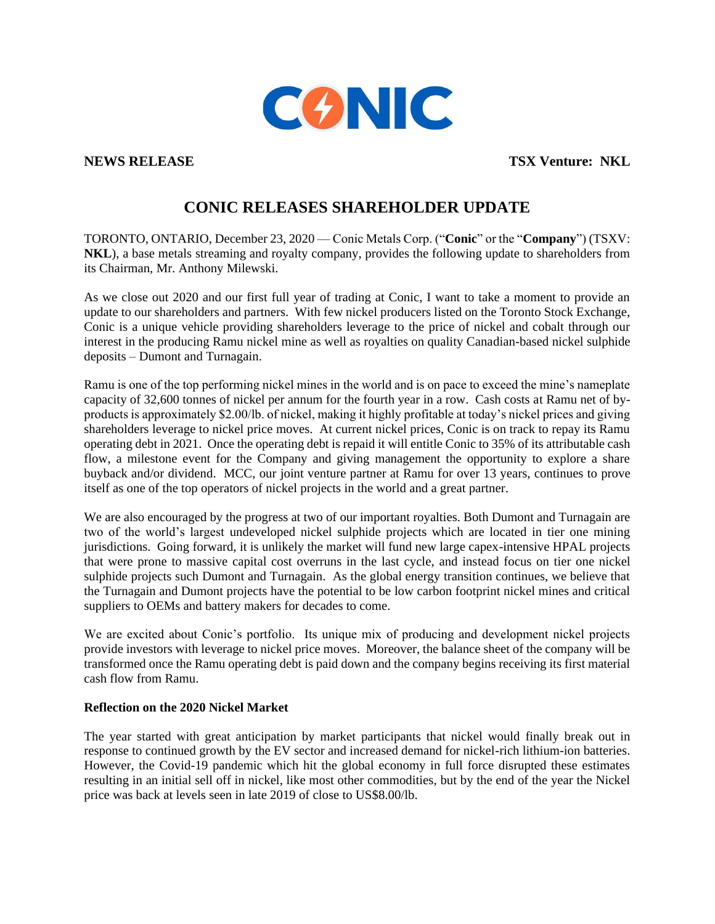

**NEWS RELEASE TSX Venture: NKL** 

# **CONIC RELEASES SHAREHOLDER UPDATE**

TORONTO, ONTARIO, December 23, 2020 — Conic Metals Corp. ("**Conic**" or the "**Company**") (TSXV: **NKL**), a base metals streaming and royalty company, provides the following update to shareholders from its Chairman, Mr. Anthony Milewski.

As we close out 2020 and our first full year of trading at Conic, I want to take a moment to provide an update to our shareholders and partners. With few nickel producers listed on the Toronto Stock Exchange, Conic is a unique vehicle providing shareholders leverage to the price of nickel and cobalt through our interest in the producing Ramu nickel mine as well as royalties on quality Canadian-based nickel sulphide deposits – Dumont and Turnagain.

Ramu is one of the top performing nickel mines in the world and is on pace to exceed the mine's nameplate capacity of 32,600 tonnes of nickel per annum for the fourth year in a row. Cash costs at Ramu net of byproducts is approximately \$2.00/lb. of nickel, making it highly profitable at today's nickel prices and giving shareholders leverage to nickel price moves. At current nickel prices, Conic is on track to repay its Ramu operating debt in 2021. Once the operating debt is repaid it will entitle Conic to 35% of its attributable cash flow, a milestone event for the Company and giving management the opportunity to explore a share buyback and/or dividend. MCC, our joint venture partner at Ramu for over 13 years, continues to prove itself as one of the top operators of nickel projects in the world and a great partner.

We are also encouraged by the progress at two of our important royalties. Both Dumont and Turnagain are two of the world's largest undeveloped nickel sulphide projects which are located in tier one mining jurisdictions. Going forward, it is unlikely the market will fund new large capex-intensive HPAL projects that were prone to massive capital cost overruns in the last cycle, and instead focus on tier one nickel sulphide projects such Dumont and Turnagain. As the global energy transition continues, we believe that the Turnagain and Dumont projects have the potential to be low carbon footprint nickel mines and critical suppliers to OEMs and battery makers for decades to come.

We are excited about Conic's portfolio. Its unique mix of producing and development nickel projects provide investors with leverage to nickel price moves. Moreover, the balance sheet of the company will be transformed once the Ramu operating debt is paid down and the company begins receiving its first material cash flow from Ramu.

### **Reflection on the 2020 Nickel Market**

The year started with great anticipation by market participants that nickel would finally break out in response to continued growth by the EV sector and increased demand for nickel-rich lithium-ion batteries. However, the Covid-19 pandemic which hit the global economy in full force disrupted these estimates resulting in an initial sell off in nickel, like most other commodities, but by the end of the year the Nickel price was back at levels seen in late 2019 of close to US\$8.00/lb.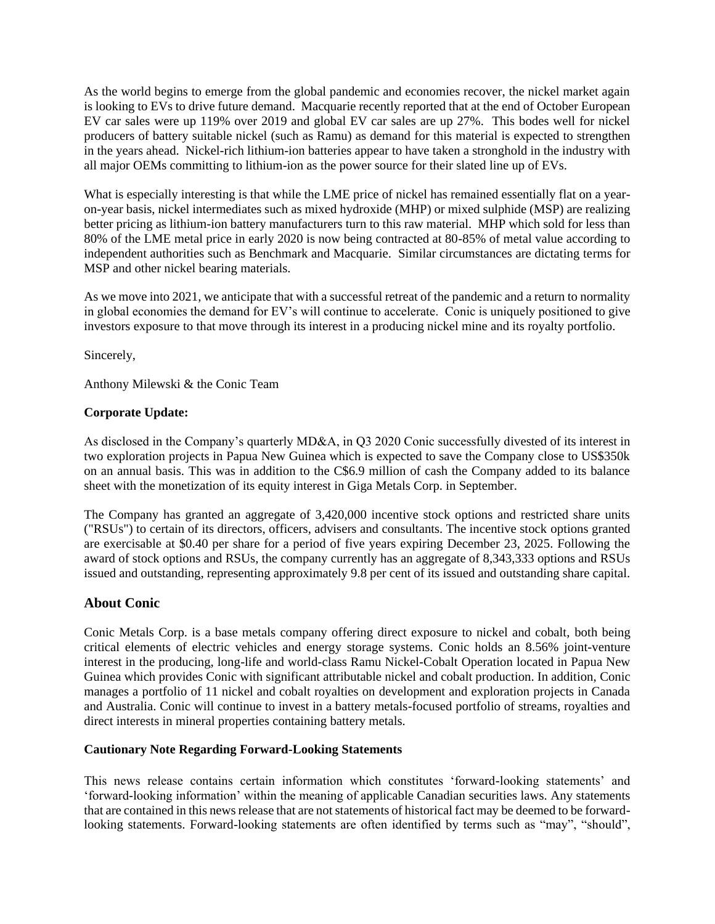As the world begins to emerge from the global pandemic and economies recover, the nickel market again is looking to EVs to drive future demand. Macquarie recently reported that at the end of October European EV car sales were up 119% over 2019 and global EV car sales are up 27%. This bodes well for nickel producers of battery suitable nickel (such as Ramu) as demand for this material is expected to strengthen in the years ahead. Nickel-rich lithium-ion batteries appear to have taken a stronghold in the industry with all major OEMs committing to lithium-ion as the power source for their slated line up of EVs.

What is especially interesting is that while the LME price of nickel has remained essentially flat on a yearon-year basis, nickel intermediates such as mixed hydroxide (MHP) or mixed sulphide (MSP) are realizing better pricing as lithium-ion battery manufacturers turn to this raw material. MHP which sold for less than 80% of the LME metal price in early 2020 is now being contracted at 80-85% of metal value according to independent authorities such as Benchmark and Macquarie. Similar circumstances are dictating terms for MSP and other nickel bearing materials.

As we move into 2021, we anticipate that with a successful retreat of the pandemic and a return to normality in global economies the demand for EV's will continue to accelerate. Conic is uniquely positioned to give investors exposure to that move through its interest in a producing nickel mine and its royalty portfolio.

Sincerely,

Anthony Milewski & the Conic Team

## **Corporate Update:**

As disclosed in the Company's quarterly MD&A, in Q3 2020 Conic successfully divested of its interest in two exploration projects in Papua New Guinea which is expected to save the Company close to US\$350k on an annual basis. This was in addition to the C\$6.9 million of cash the Company added to its balance sheet with the monetization of its equity interest in Giga Metals Corp. in September.

The Company has granted an aggregate of 3,420,000 incentive stock options and restricted share units ("RSUs") to certain of its directors, officers, advisers and consultants. The incentive stock options granted are exercisable at \$0.40 per share for a period of five years expiring December 23, 2025. Following the award of stock options and RSUs, the company currently has an aggregate of 8,343,333 options and RSUs issued and outstanding, representing approximately 9.8 per cent of its issued and outstanding share capital.

# **About Conic**

Conic Metals Corp. is a base metals company offering direct exposure to nickel and cobalt, both being critical elements of electric vehicles and energy storage systems. Conic holds an 8.56% joint-venture interest in the producing, long-life and world-class Ramu Nickel-Cobalt Operation located in Papua New Guinea which provides Conic with significant attributable nickel and cobalt production. In addition, Conic manages a portfolio of 11 nickel and cobalt royalties on development and exploration projects in Canada and Australia. Conic will continue to invest in a battery metals-focused portfolio of streams, royalties and direct interests in mineral properties containing battery metals.

### **Cautionary Note Regarding Forward-Looking Statements**

This news release contains certain information which constitutes 'forward-looking statements' and 'forward-looking information' within the meaning of applicable Canadian securities laws. Any statements that are contained in this news release that are not statements of historical fact may be deemed to be forwardlooking statements. Forward-looking statements are often identified by terms such as "may", "should",